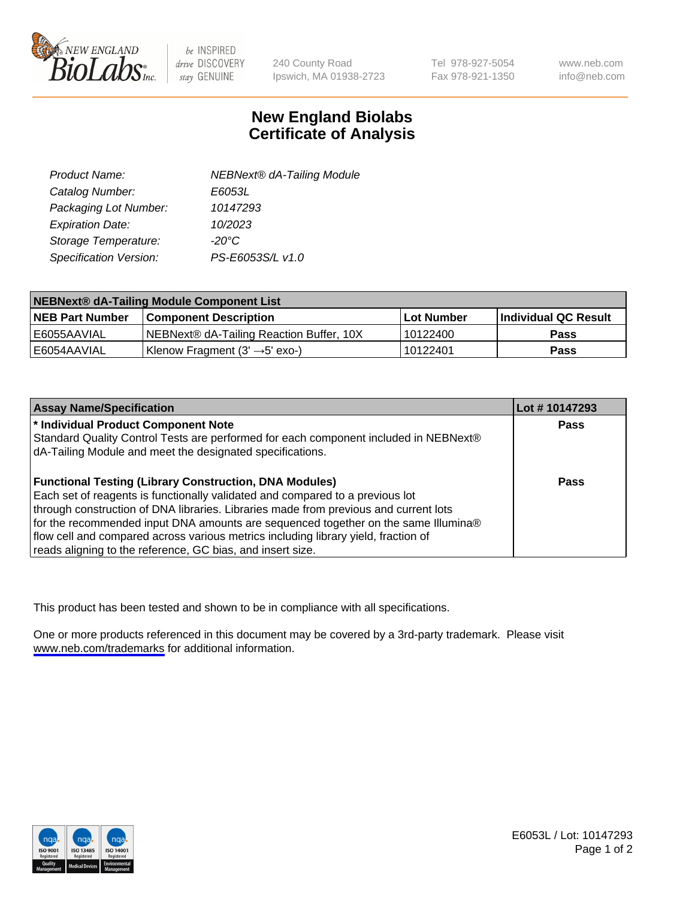

be INSPIRED drive DISCOVERY stay GENUINE

240 County Road Ipswich, MA 01938-2723 Tel 978-927-5054 Fax 978-921-1350

www.neb.com info@neb.com

## **New England Biolabs Certificate of Analysis**

| <b>NEBNext® dA-Tailing Module</b> |
|-----------------------------------|
| E6053L                            |
| 10147293                          |
| 10/2023                           |
| $-20^{\circ}$ C                   |
| PS-E6053S/L v1.0                  |
|                                   |

| NEBNext® dA-Tailing Module Component List |                                            |                   |                      |  |
|-------------------------------------------|--------------------------------------------|-------------------|----------------------|--|
| <b>NEB Part Number</b>                    | <b>Component Description</b>               | <b>Lot Number</b> | Individual QC Result |  |
| E6055AAVIAL                               | NEBNext® dA-Tailing Reaction Buffer, 10X   | 10122400          | <b>Pass</b>          |  |
| E6054AAVIAL                               | Klenow Fragment $(3' \rightarrow 5'$ exo-) | 10122401          | <b>Pass</b>          |  |

| <b>Assay Name/Specification</b>                                                      | Lot # 10147293 |
|--------------------------------------------------------------------------------------|----------------|
| * Individual Product Component Note                                                  | <b>Pass</b>    |
| Standard Quality Control Tests are performed for each component included in NEBNext® |                |
| dA-Tailing Module and meet the designated specifications.                            |                |
| <b>Functional Testing (Library Construction, DNA Modules)</b>                        | <b>Pass</b>    |
| Each set of reagents is functionally validated and compared to a previous lot        |                |
| through construction of DNA libraries. Libraries made from previous and current lots |                |
| for the recommended input DNA amounts are sequenced together on the same Illumina®   |                |
| flow cell and compared across various metrics including library yield, fraction of   |                |
| reads aligning to the reference, GC bias, and insert size.                           |                |

This product has been tested and shown to be in compliance with all specifications.

One or more products referenced in this document may be covered by a 3rd-party trademark. Please visit <www.neb.com/trademarks>for additional information.